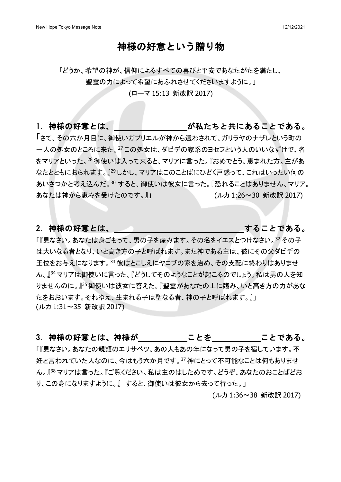#### 神様の好意という贈り物

「どうか、希望の神が、信仰によるすべての喜びと平安であなたがたを満たし、

聖霊の力によって希望にあふれさせてくださいますように。」

(ローマ 15:13 新改訳 2017)

1. 神様の好意とは、 インスコンコンのおいが私たちと共にあることである。

「さて、その六か月目に、御使いガブリエルが神から遣わされて、ガリラヤのナザレという町の 一人の処女のところに来た。<sup>27</sup> この処女は、ダビデの家系のヨセフという人のいいなずけで、名 をマリアといった。<sup>28</sup> 御使いは入って来ると、マリアに言った。『おめでとう、恵まれた方。主があ なたとともにおられます。』<sup>29</sup> しかし、マリアはこのことばにひどく戸惑って、これはいったい何の あいさつかと考え込んだ。<sup>30</sup> すると、御使いは彼女に言った。『恐れることはありません、マリア。 あなたは神から恵みを受けたのです。』」 (ルカ 1:26~30 新改訳 2017)

#### 2. 神様の好意とは、 インファイン インファイン することである。

「『見なさい。あなたは身ごもって、男の子を産みます。その名をイエスとつけなさい。<sup>32</sup> その子 は大いなる者となり、いと高き方の子と呼ばれます。また神である主は、彼にその父ダビデの 王位をお与えになります。<sup>33</sup> 彼はとこしえにヤコブの家を治め、その支配に終わりはありませ ん。』<sup>34</sup> マリアは御使いに言った。『どうしてそのようなことが起こるのでしょう。私は男の人を知 りませんのに。』<sup>35</sup>御使いは彼女に答えた。『聖霊があなたの上に臨み、いと高き方の力があな たをおおいます。それゆえ、生まれる子は聖なる者、神の子と呼ばれます。』」 (ルカ 1:31~35 新改訳 2017)

3. 神様の好意とは、神様が ことを ことを ことである。

「『見なさい。あなたの親類のエリサベツ、あの人もあの年になって男の子を宿しています。不 妊と言われていた人なのに、今はもう六か月です。<sup>37</sup> 神にとって不可能なことは何もありませ ん。』<sup>38</sup> マリアは言った。『ご覧ください。私は主のはしためです。どうぞ、あなたのおことばどお り、この身になりますように。』 すると、御使いは彼女から去って行った。」

(ルカ 1:36~38 新改訳 2017)